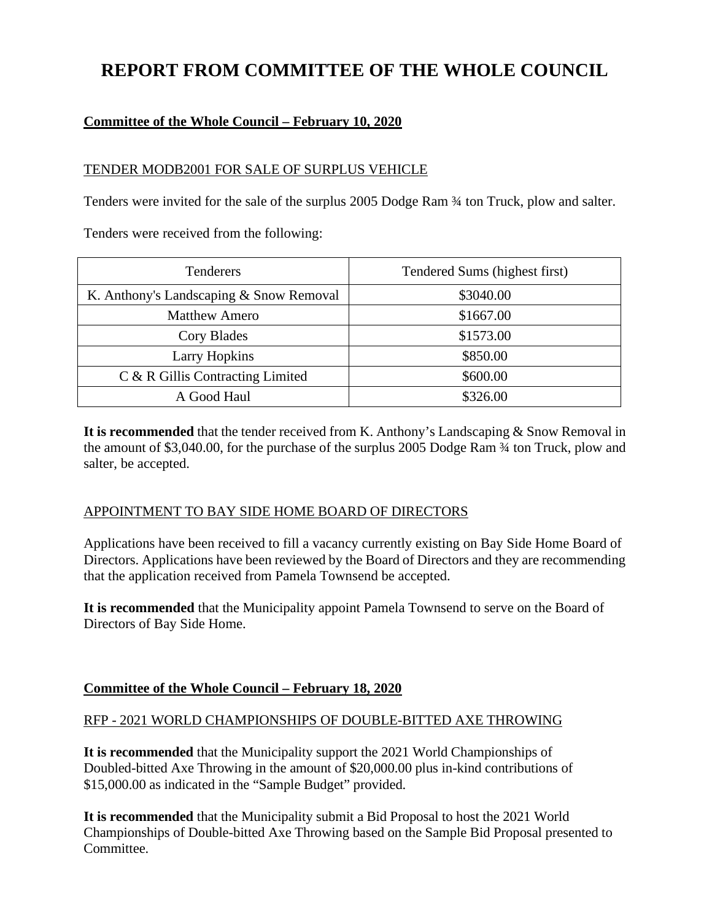# **REPORT FROM COMMITTEE OF THE WHOLE COUNCIL**

# **Committee of the Whole Council – February 10, 2020**

#### TENDER MODB2001 FOR SALE OF SURPLUS VEHICLE

Tenders were invited for the sale of the surplus 2005 Dodge Ram ¾ ton Truck, plow and salter.

Tenders were received from the following:

| <b>Tenderers</b>                        | Tendered Sums (highest first) |
|-----------------------------------------|-------------------------------|
| K. Anthony's Landscaping & Snow Removal | \$3040.00                     |
| <b>Matthew Amero</b>                    | \$1667.00                     |
| Cory Blades                             | \$1573.00                     |
| <b>Larry Hopkins</b>                    | \$850.00                      |
| C & R Gillis Contracting Limited        | \$600.00                      |
| A Good Haul                             | \$326.00                      |

**It is recommended** that the tender received from K. Anthony's Landscaping & Snow Removal in the amount of \$3,040.00, for the purchase of the surplus 2005 Dodge Ram ¾ ton Truck, plow and salter, be accepted.

# APPOINTMENT TO BAY SIDE HOME BOARD OF DIRECTORS

Applications have been received to fill a vacancy currently existing on Bay Side Home Board of Directors. Applications have been reviewed by the Board of Directors and they are recommending that the application received from Pamela Townsend be accepted.

**It is recommended** that the Municipality appoint Pamela Townsend to serve on the Board of Directors of Bay Side Home.

# **Committee of the Whole Council – February 18, 2020**

# RFP - 2021 WORLD CHAMPIONSHIPS OF DOUBLE-BITTED AXE THROWING

**It is recommended** that the Municipality support the 2021 World Championships of Doubled-bitted Axe Throwing in the amount of \$20,000.00 plus in-kind contributions of \$15,000.00 as indicated in the "Sample Budget" provided.

**It is recommended** that the Municipality submit a Bid Proposal to host the 2021 World Championships of Double-bitted Axe Throwing based on the Sample Bid Proposal presented to Committee.